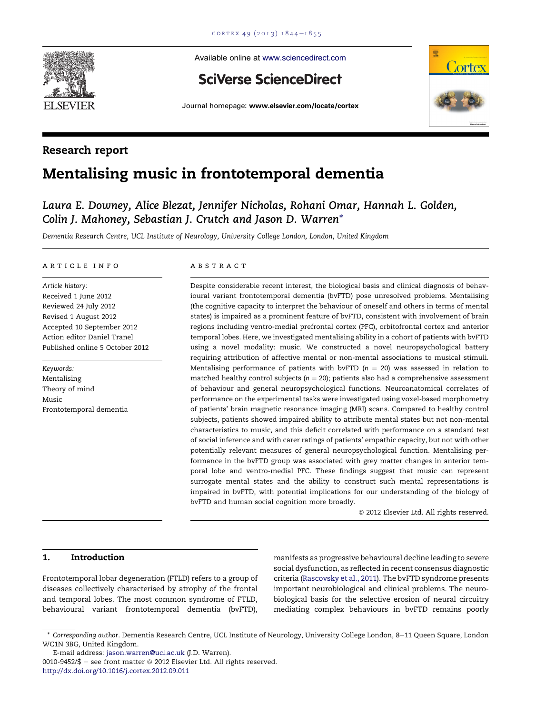

Available online at [www.sciencedirect.com](www.sciencedirect.com/science/journal/00109452)

## **SciVerse ScienceDirect**



Journal homepage: <www.elsevier.com/locate/cortex>

## Research report

# Mentalising music in frontotemporal dementia

## Laura E. Downey, Alice Blezat, Jennifer Nicholas, Rohani Omar, Hannah L. Golden, Colin J. Mahoney, Sebastian J. Crutch and Jason D. Warren\*

Dementia Research Centre, UCL Institute of Neurology, University College London, London, United Kingdom

#### article info

Article history: Received 1 June 2012 Reviewed 24 July 2012 Revised 1 August 2012 Accepted 10 September 2012 Action editor Daniel Tranel Published online 5 October 2012

Keywords: Mentalising Theory of mind Music Frontotemporal dementia

#### **ABSTRACT**

Despite considerable recent interest, the biological basis and clinical diagnosis of behavioural variant frontotemporal dementia (bvFTD) pose unresolved problems. Mentalising (the cognitive capacity to interpret the behaviour of oneself and others in terms of mental states) is impaired as a prominent feature of bvFTD, consistent with involvement of brain regions including ventro-medial prefrontal cortex (PFC), orbitofrontal cortex and anterior temporal lobes. Here, we investigated mentalising ability in a cohort of patients with bvFTD using a novel modality: music. We constructed a novel neuropsychological battery requiring attribution of affective mental or non-mental associations to musical stimuli. Mentalising performance of patients with bvFTD ( $n = 20$ ) was assessed in relation to matched healthy control subjects ( $n = 20$ ); patients also had a comprehensive assessment of behaviour and general neuropsychological functions. Neuroanatomical correlates of performance on the experimental tasks were investigated using voxel-based morphometry of patients' brain magnetic resonance imaging (MRI) scans. Compared to healthy control subjects, patients showed impaired ability to attribute mental states but not non-mental characteristics to music, and this deficit correlated with performance on a standard test of social inference and with carer ratings of patients' empathic capacity, but not with other potentially relevant measures of general neuropsychological function. Mentalising performance in the bvFTD group was associated with grey matter changes in anterior temporal lobe and ventro-medial PFC. These findings suggest that music can represent surrogate mental states and the ability to construct such mental representations is impaired in bvFTD, with potential implications for our understanding of the biology of bvFTD and human social cognition more broadly.

© 2012 Elsevier Ltd. All rights reserved.

## 1. Introduction

Frontotemporal lobar degeneration (FTLD) refers to a group of diseases collectively characterised by atrophy of the frontal and temporal lobes. The most common syndrome of FTLD, behavioural variant frontotemporal dementia (bvFTD),

manifests as progressive behavioural decline leading to severe social dysfunction, as reflected in recent consensus diagnostic criteria [\(Rascovsky et al., 2011\)](#page-10-0). The bvFTD syndrome presents important neurobiological and clinical problems. The neurobiological basis for the selective erosion of neural circuitry mediating complex behaviours in bvFTD remains poorly

E-mail address: [jason.warren@ucl.ac.uk](mailto:jason.warren@ucl.ac.uk) (J.D. Warren). 0010-9452/\$ - see front matter  $\odot$  2012 Elsevier Ltd. All rights reserved. <http://dx.doi.org/10.1016/j.cortex.2012.09.011>

<sup>\*</sup> Corresponding author. Dementia Research Centre, UCL Institute of Neurology, University College London, 8–11 Queen Square, London WC1N 3BG, United Kingdom.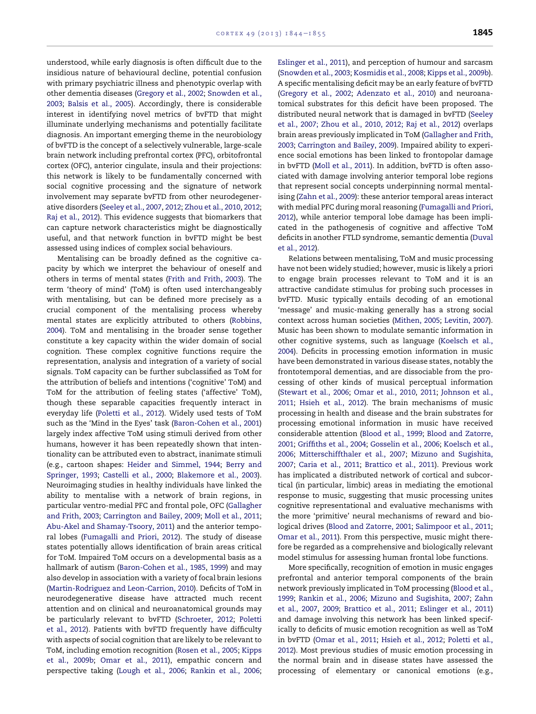understood, while early diagnosis is often difficult due to the insidious nature of behavioural decline, potential confusion with primary psychiatric illness and phenotypic overlap with other dementia diseases [\(Gregory et al., 2002](#page-10-0); [Snowden et al.,](#page-11-0) [2003](#page-11-0); [Balsis et al., 2005\)](#page-9-0). Accordingly, there is considerable interest in identifying novel metrics of bvFTD that might illuminate underlying mechanisms and potentially facilitate diagnosis. An important emerging theme in the neurobiology of bvFTD is the concept of a selectively vulnerable, large-scale brain network including prefrontal cortex (PFC), orbitofrontal cortex (OFC), anterior cingulate, insula and their projections: this network is likely to be fundamentally concerned with social cognitive processing and the signature of network involvement may separate bvFTD from other neurodegenerative disorders [\(Seeley et al., 2007,](#page-11-0) [2012](#page-11-0); [Zhou et al., 2010](#page-11-0), [2012;](#page-11-0) [Raj et al., 2012\)](#page-10-0). This evidence suggests that biomarkers that can capture network characteristics might be diagnostically useful, and that network function in bvFTD might be best assessed using indices of complex social behaviours.

Mentalising can be broadly defined as the cognitive capacity by which we interpret the behaviour of oneself and others in terms of mental states ([Frith and Frith, 2003](#page-10-0)). The term 'theory of mind' (ToM) is often used interchangeably with mentalising, but can be defined more precisely as a crucial component of the mentalising process whereby mental states are explicitly attributed to others ([Robbins,](#page-10-0) [2004](#page-10-0)). ToM and mentalising in the broader sense together constitute a key capacity within the wider domain of social cognition. These complex cognitive functions require the representation, analysis and integration of a variety of social signals. ToM capacity can be further subclassified as ToM for the attribution of beliefs and intentions ('cognitive' ToM) and ToM for the attribution of feeling states ('affective' ToM), though these separable capacities frequently interact in everyday life ([Poletti et al., 2012](#page-10-0)). Widely used tests of ToM such as the 'Mind in the Eyes' task [\(Baron-Cohen et al., 2001\)](#page-9-0) largely index affective ToM using stimuli derived from other humans, however it has been repeatedly shown that intentionality can be attributed even to abstract, inanimate stimuli (e.g., cartoon shapes: [Heider and Simmel, 1944;](#page-10-0) [Berry and](#page-9-0) [Springer, 1993](#page-9-0); [Castelli et al., 2000;](#page-9-0) [Blakemore et al., 2003](#page-9-0)). Neuroimaging studies in healthy individuals have linked the ability to mentalise with a network of brain regions, in particular ventro-medial PFC and frontal pole, OFC ([Gallagher](#page-10-0) [and Frith, 2003](#page-10-0); [Carrington and Bailey, 2009;](#page-9-0) [Moll et al., 2011;](#page-10-0) [Abu-Akel and Shamay-Tsoory, 2011\)](#page-9-0) and the anterior temporal lobes ([Fumagalli and Priori, 2012\)](#page-10-0). The study of disease states potentially allows identification of brain areas critical for ToM. Impaired ToM occurs on a developmental basis as a hallmark of autism ([Baron-Cohen et al., 1985,](#page-9-0) [1999](#page-9-0)) and may also develop in association with a variety of focal brain lesions [\(Martin-Rodriguez and Leon-Carrion, 2010](#page-10-0)). Deficits of ToM in neurodegenerative disease have attracted much recent attention and on clinical and neuroanatomical grounds may be particularly relevant to bvFTD [\(Schroeter, 2012](#page-11-0); [Poletti](#page-10-0) [et al., 2012\)](#page-10-0). Patients with bvFTD frequently have difficulty with aspects of social cognition that are likely to be relevant to ToM, including emotion recognition [\(Rosen et al., 2005](#page-11-0); [Kipps](#page-10-0) [et al., 2009b](#page-10-0); [Omar et al., 2011\)](#page-10-0), empathic concern and perspective taking [\(Lough et al., 2006](#page-10-0); [Rankin et al., 2006;](#page-10-0)

[Eslinger et al., 2011](#page-9-0)), and perception of humour and sarcasm [\(Snowden et al., 2003](#page-11-0); [Kosmidis et al., 2008;](#page-10-0) [Kipps et al., 2009b](#page-10-0)). A specific mentalising deficit may be an early feature of bvFTD (Gregory [et al., 2002](#page-10-0); [Adenzato et al., 2010](#page-9-0)) and neuroanatomical substrates for this deficit have been proposed. The distributed neural network that is damaged in bvFTD [\(Seeley](#page-11-0) [et al., 2007; Zhou et al., 2010, 2012; Raj et al., 2012](#page-11-0)) overlaps brain areas previously implicated in ToM [\(Gallagher and Frith,](#page-10-0) [2003](#page-10-0); [Carrington and Bailey, 2009\)](#page-9-0). Impaired ability to experience social emotions has been linked to frontopolar damage in bvFTD ([Moll et al., 2011\)](#page-10-0). In addition, bvFTD is often associated with damage involving anterior temporal lobe regions that represent social concepts underpinning normal mentalising ([Zahn et al., 2009\)](#page-11-0): these anterior temporal areas interact with medial PFC during moral reasoning [\(Fumagalli and Priori,](#page-10-0) [2012](#page-10-0)), while anterior temporal lobe damage has been implicated in the pathogenesis of cognitive and affective ToM deficits in another FTLD syndrome, semantic dementia [\(Duval](#page-9-0) [et al., 2012](#page-9-0)).

Relations between mentalising, ToM and music processing have not been widely studied; however, music is likely a priori to engage brain processes relevant to ToM and it is an attractive candidate stimulus for probing such processes in bvFTD. Music typically entails decoding of an emotional 'message' and music-making generally has a strong social context across human societies ([Mithen, 2005](#page-10-0); [Levitin, 2007](#page-10-0)). Music has been shown to modulate semantic information in other cognitive systems, such as language ([Koelsch et al.,](#page-10-0) [2004](#page-10-0)). Deficits in processing emotion information in music have been demonstrated in various disease states, notably the frontotemporal dementias, and are dissociable from the processing of other kinds of musical perceptual information [\(Stewart et al., 2006;](#page-11-0) [Omar et al., 2010,](#page-10-0) [2011](#page-10-0); [Johnson et al.,](#page-10-0) [2011](#page-10-0); [Hsieh et al., 2012\)](#page-10-0). The brain mechanisms of music processing in health and disease and the brain substrates for processing emotional information in music have received considerable attention ([Blood et al., 1999;](#page-9-0) [Blood and Zatorre,](#page-9-0) [2001](#page-9-0); [Griffiths et al., 2004;](#page-10-0) [Gosselin et al., 2006;](#page-10-0) [Koelsch et al.,](#page-10-0) [2006](#page-10-0); [Mitterschiffthaler et al., 2007;](#page-10-0) [Mizuno and Sugishita,](#page-10-0) [2007](#page-10-0); [Caria et al., 2011;](#page-9-0) [Brattico et al., 2011](#page-9-0)). Previous work has implicated a distributed network of cortical and subcortical (in particular, limbic) areas in mediating the emotional response to music, suggesting that music processing unites cognitive representational and evaluative mechanisms with the more 'primitive' neural mechanisms of reward and biological drives [\(Blood and Zatorre, 2001](#page-9-0); [Salimpoor et al., 2011;](#page-11-0) [Omar et al., 2011](#page-10-0)). From this perspective, music might therefore be regarded as a comprehensive and biologically relevant model stimulus for assessing human frontal lobe functions.

More specifically, recognition of emotion in music engages prefrontal and anterior temporal components of the brain network previously implicated in ToM processing ([Blood et al.,](#page-9-0) [1999](#page-9-0); [Rankin et al., 2006](#page-10-0); [Mizuno and Sugishita, 2007](#page-10-0); [Zahn](#page-11-0) [et al., 2007,](#page-11-0) [2009](#page-11-0); [Brattico et al., 2011;](#page-9-0) Eslinger [et al., 2011\)](#page-9-0) and damage involving this network has been linked specifically to deficits of music emotion recognition as well as ToM in bvFTD ([Omar et al., 2011;](#page-10-0) [Hsieh et al., 2012](#page-10-0); [Poletti et al.,](#page-10-0) [2012](#page-10-0)). Most previous studies of music emotion processing in the normal brain and in disease states have assessed the processing of elementary or canonical emotions (e.g.,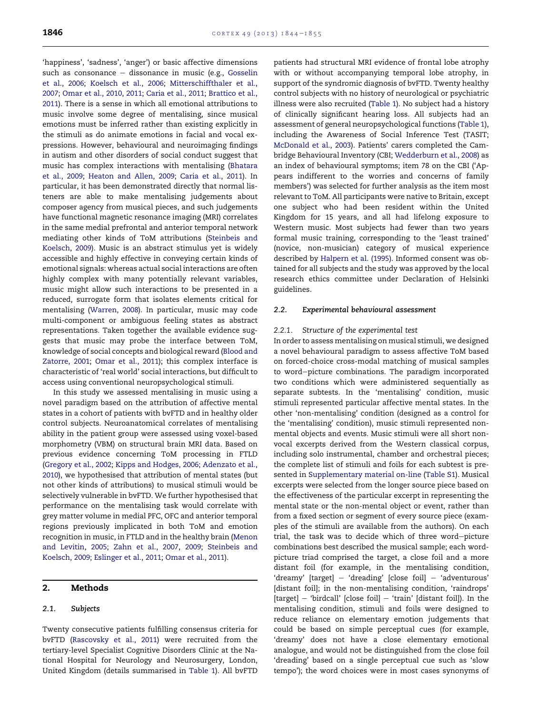'happiness', 'sadness', 'anger') or basic affective dimensions such as consonance  $-$  dissonance in music (e.g., [Gosselin](#page-10-0) [et al., 2006](#page-10-0); [Koelsch et al., 2006;](#page-10-0) [Mitterschiffthaler et al.,](#page-10-0) [2007;](#page-10-0) [Omar et al., 2010,](#page-10-0) [2011;](#page-10-0) [Caria et al., 2011](#page-9-0); [Brattico et al.,](#page-9-0) [2011\)](#page-9-0). There is a sense in which all emotional attributions to music involve some degree of mentalising, since musical emotions must be inferred rather than existing explicitly in the stimuli as do animate emotions in facial and vocal expressions. However, behavioural and neuroimaging findings in autism and other disorders of social conduct suggest that music has complex interactions with mentalising ([Bhatara](#page-9-0) [et al., 2009;](#page-9-0) [Heaton and Allen, 2009;](#page-10-0) [Caria et al., 2011\)](#page-9-0). In particular, it has been demonstrated directly that normal listeners are able to make mentalising judgements about composer agency from musical pieces, and such judgements have functional magnetic resonance imaging (MRI) correlates in the same medial prefrontal and anterior temporal network mediating other kinds of ToM attributions [\(Steinbeis and](#page-11-0) [Koelsch, 2009\)](#page-11-0). Music is an abstract stimulus yet is widely accessible and highly effective in conveying certain kinds of emotional signals: whereas actual social interactions are often highly complex with many potentially relevant variables, music might allow such interactions to be presented in a reduced, surrogate form that isolates elements critical for mentalising [\(Warren, 2008\)](#page-11-0). In particular, music may code multi-component or ambiguous feeling states as abstract representations. Taken together the available evidence suggests that music may probe the interface between ToM, knowledge of social concepts and biological reward [\(Blood and](#page-9-0) [Zatorre, 2001;](#page-9-0) [Omar et al., 2011](#page-10-0)); this complex interface is characteristic of 'real world' social interactions, but difficult to access using conventional neuropsychological stimuli.

In this study we assessed mentalising in music using a novel paradigm based on the attribution of affective mental states in a cohort of patients with bvFTD and in healthy older control subjects. Neuroanatomical correlates of mentalising ability in the patient group were assessed using voxel-based morphometry (VBM) on structural brain MRI data. Based on previous evidence concerning ToM processing in FTLD ([Gregory et al., 2002;](#page-10-0) [Kipps and Hodges, 2006;](#page-10-0) [Adenzato et al.,](#page-9-0) [2010\)](#page-9-0), we hypothesised that attribution of mental states (but not other kinds of attributions) to musical stimuli would be selectively vulnerable in bvFTD. We further hypothesised that performance on the mentalising task would correlate with grey matter volume in medial PFC, OFC and anterior temporal regions previously implicated in both ToM and emotion recognition in music, in FTLD and in the healthy brain [\(Menon](#page-10-0) [and Levitin, 2005;](#page-10-0) [Zahn et al., 2007,](#page-11-0) [2009](#page-11-0); [Steinbeis and](#page-11-0) [Koelsch, 2009](#page-11-0); [Eslinger et al., 2011](#page-9-0); [Omar et al., 2011\)](#page-10-0).

#### 2. Methods

#### 2.1. Subjects

Twenty consecutive patients fulfilling consensus criteria for bvFTD ([Rascovsky et al., 2011\)](#page-10-0) were recruited from the tertiary-level Specialist Cognitive Disorders Clinic at the National Hospital for Neurology and Neurosurgery, London, United Kingdom (details summarised in [Table 1](#page-3-0)). All bvFTD patients had structural MRI evidence of frontal lobe atrophy with or without accompanying temporal lobe atrophy, in support of the syndromic diagnosis of bvFTD. Twenty healthy control subjects with no history of neurological or psychiatric illness were also recruited [\(Table 1](#page-3-0)). No subject had a history of clinically significant hearing loss. All subjects had an assessment of general neuropsychological functions [\(Table 1\)](#page-3-0), including the Awareness of Social Inference Test (TASIT; [McDonald et al., 2003](#page-10-0)). Patients' carers completed the Cambridge Behavioural Inventory (CBI; [Wedderburn et al., 2008](#page-11-0)) as an index of behavioural symptoms; item 78 on the CBI ('Appears indifferent to the worries and concerns of family members') was selected for further analysis as the item most relevant to ToM. All participants were native to Britain, except one subject who had been resident within the United Kingdom for 15 years, and all had lifelong exposure to Western music. Most subjects had fewer than two years formal music training, corresponding to the 'least trained' (novice, non-musician) category of musical experience described by [Halpern et al. \(1995\)](#page-10-0). Informed consent was obtained for all subjects and the study was approved by the local research ethics committee under Declaration of Helsinki guidelines.

#### 2.2. Experimental behavioural assessment

#### 2.2.1. Structure of the experimental test

In order to assess mentalising on musical stimuli, we designed a novel behavioural paradigm to assess affective ToM based on forced-choice cross-modal matching of musical samples to word-picture combinations. The paradigm incorporated two conditions which were administered sequentially as separate subtests. In the 'mentalising' condition, music stimuli represented particular affective mental states. In the other 'non-mentalising' condition (designed as a control for the 'mentalising' condition), music stimuli represented nonmental objects and events. Music stimuli were all short nonvocal excerpts derived from the Western classical corpus, including solo instrumental, chamber and orchestral pieces; the complete list of stimuli and foils for each subtest is presented in Supplementary material on-line (Table S1). Musical excerpts were selected from the longer source piece based on the effectiveness of the particular excerpt in representing the mental state or the non-mental object or event, rather than from a fixed section or segment of every source piece (examples of the stimuli are available from the authors). On each trial, the task was to decide which of three word-picture combinations best described the musical sample; each wordpicture triad comprised the target, a close foil and a more distant foil (for example, in the mentalising condition, 'dreamy' [target]  $-$  'dreading' [close foil]  $-$  'adventurous' [distant foil]; in the non-mentalising condition, 'raindrops' [target]  $-$  'birdcall' [close foil]  $-$  'train' [distant foil]). In the mentalising condition, stimuli and foils were designed to reduce reliance on elementary emotion judgements that could be based on simple perceptual cues (for example, 'dreamy' does not have a close elementary emotional analogue, and would not be distinguished from the close foil 'dreading' based on a single perceptual cue such as 'slow tempo'); the word choices were in most cases synonyms of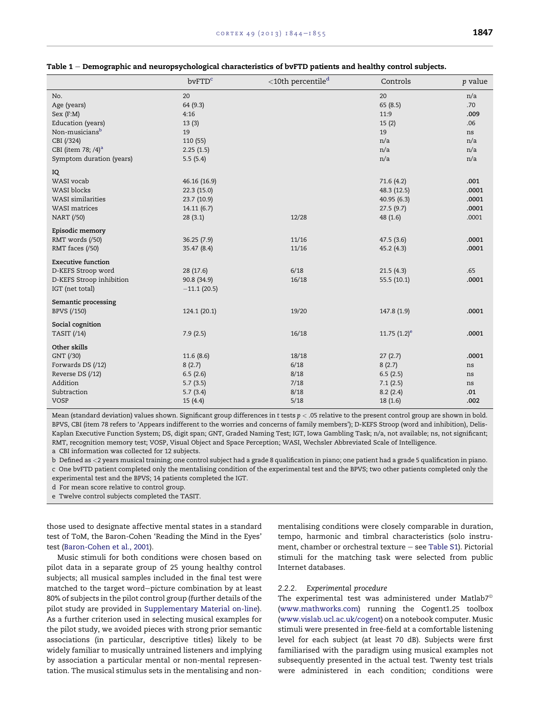|                                   | bvFTD <sup>c</sup> | $<$ 10th percentile <sup>d</sup> | Controls        | <i>p</i> value |
|-----------------------------------|--------------------|----------------------------------|-----------------|----------------|
| No.                               | 20                 |                                  | 20              | n/a            |
| Age (years)                       | 64 (9.3)           |                                  | 65 (8.5)        | .70            |
| Sex(F:M)                          | 4:16               |                                  | 11:9            | .009           |
| Education (years)                 | 13(3)              |                                  | 15(2)           | .06            |
| Non-musicians <sup>b</sup>        | 19                 |                                  | 19              | ns             |
| CBI (/324)                        | 110 (55)           |                                  | n/a             | n/a            |
| CBI (item 78; $/4$ ) <sup>a</sup> | 2.25(1.5)          |                                  | n/a             | n/a            |
| Symptom duration (years)          | 5.5(5.4)           |                                  | n/a             | n/a            |
| IQ                                |                    |                                  |                 |                |
| WASI vocab                        | 46.16 (16.9)       |                                  | 71.6(4.2)       | .001           |
| WASI blocks                       | 22.3(15.0)         |                                  | 48.3 (12.5)     | .0001          |
| WASI similarities                 | 23.7(10.9)         |                                  | 40.95(6.3)      | .0001          |
| WASI matrices                     | 14.11(6.7)         |                                  | 27.5(9.7)       | .0001          |
| NART (/50)                        | 28(3.1)            | 12/28                            | 48 (1.6)        | .0001          |
| Episodic memory                   |                    |                                  |                 |                |
| RMT words (/50)                   | 36.25(7.9)         | 11/16                            | 47.5(3.6)       | .0001          |
| RMT faces (/50)                   | 35.47 (8.4)        | 11/16                            | 45.2(4.3)       | .0001          |
| <b>Executive function</b>         |                    |                                  |                 |                |
| D-KEFS Stroop word                | 28 (17.6)          | 6/18                             | 21.5(4.3)       | .65            |
| D-KEFS Stroop inhibition          | 90.8 (34.9)        | 16/18                            | 55.5 (10.1)     | .0001          |
| IGT (net total)                   | $-11.1(20.5)$      |                                  |                 |                |
| Semantic processing               |                    |                                  |                 |                |
| BPVS (/150)                       | 124.1 (20.1)       | 19/20                            | 147.8 (1.9)     | .0001          |
| Social cognition                  |                    |                                  |                 |                |
| TASIT (/14)                       | 7.9(2.5)           | 16/18                            | 11.75 $(1.2)^e$ | .0001          |
| Other skills                      |                    |                                  |                 |                |
| GNT (/30)                         | 11.6(8.6)          | 18/18                            | 27(2.7)         | .0001          |
| Forwards DS (/12)                 | 8(2.7)             | 6/18                             | 8(2.7)          | ns             |
| Reverse DS (/12)                  | 6.5(2.6)           | 8/18                             | 6.5(2.5)        | ns             |
| Addition                          | 5.7(3.5)           | 7/18                             | 7.1(2.5)        | ns             |
| Subtraction                       | 5.7(3.4)           | 8/18                             | 8.2(2.4)        | .01            |
| <b>VOSP</b>                       | 15(4.4)            | 5/18                             | 18(1.6)         | .002           |

#### <span id="page-3-0"></span>Table  $1$  – Demographic and neuropsychological characteristics of bvFTD patients and healthy control subjects.

Mean (standard deviation) values shown. Significant group differences in t tests  $p < .05$  relative to the present control group are shown in bold. BPVS, CBI (item 78 refers to 'Appears indifferent to the worries and concerns of family members'); D-KEFS Stroop (word and inhibition), Delis-Kaplan Executive Function System; DS, digit span; GNT, Graded Naming Test; IGT, Iowa Gambling Task; n/a, not available; ns, not significant; RMT, recognition memory test; VOSP, Visual Object and Space Perception; WASI, Wechsler Abbreviated Scale of Intelligence.

a CBI information was collected for 12 subjects.

b Defined as <2 years musical training; one control subject had a grade 8 qualification in piano; one patient had a grade 5 qualification in piano. c One bvFTD patient completed only the mentalising condition of the experimental test and the BPVS; two other patients completed only the

experimental test and the BPVS; 14 patients completed the IGT.

d For mean score relative to control group.

e Twelve control subjects completed the TASIT.

those used to designate affective mental states in a standard test of ToM, the Baron-Cohen 'Reading the Mind in the Eyes' test [\(Baron-Cohen et al., 2001](#page-9-0)).

Music stimuli for both conditions were chosen based on pilot data in a separate group of 25 young healthy control subjects; all musical samples included in the final test were matched to the target word-picture combination by at least 80% of subjects in the pilot control group (further details of the pilot study are provided in Supplementary Material on-line). As a further criterion used in selecting musical examples for the pilot study, we avoided pieces with strong prior semantic associations (in particular, descriptive titles) likely to be widely familiar to musically untrained listeners and implying by association a particular mental or non-mental representation. The musical stimulus sets in the mentalising and non-

mentalising conditions were closely comparable in duration, tempo, harmonic and timbral characteristics (solo instrument, chamber or orchestral texture  $-$  see [Table S1](#page-9-0)). Pictorial stimuli for the matching task were selected from public Internet databases.

#### 2.2.2. Experimental procedure

The experimental test was administered under Matlab7<sup>®</sup> [\(www.mathworks.com](http://www.mathworks.com)) running the Cogent1.25 toolbox [\(www.vislab.ucl.ac.uk/cogent](http://www.vislab.ucl.ac.uk/cogent)) on a notebook computer. Music stimuli were presented in free-field at a comfortable listening level for each subject (at least 70 dB). Subjects were first familiarised with the paradigm using musical examples not subsequently presented in the actual test. Twenty test trials were administered in each condition; conditions were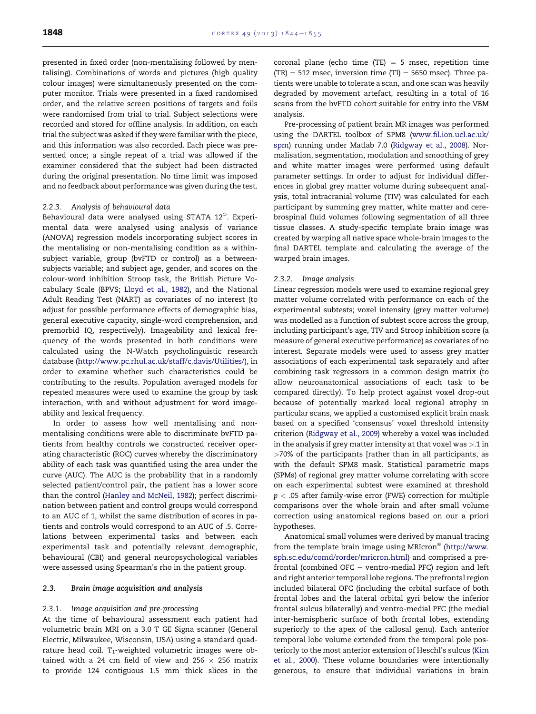presented in fixed order (non-mentalising followed by mentalising). Combinations of words and pictures (high quality colour images) were simultaneously presented on the computer monitor. Trials were presented in a fixed randomised order, and the relative screen positions of targets and foils were randomised from trial to trial. Subject selections were recorded and stored for offline analysis. In addition, on each trial the subject was asked if they were familiar with the piece, and this information was also recorded. Each piece was presented once; a single repeat of a trial was allowed if the examiner considered that the subject had been distracted during the original presentation. No time limit was imposed and no feedback about performance was given during the test.

#### 2.2.3. Analysis of behavioural data

Behavioural data were analysed using STATA 12<sup>®</sup>. Experimental data were analysed using analysis of variance (ANOVA) regression models incorporating subject scores in the mentalising or non-mentalising condition as a withinsubject variable, group (bvFTD or control) as a betweensubjects variable; and subject age, gender, and scores on the colour-word inhibition Stroop task, the British Picture Vocabulary Scale (BPVS; [Lloyd et al., 1982](#page-10-0)), and the National Adult Reading Test (NART) as covariates of no interest (to adjust for possible performance effects of demographic bias, general executive capacity, single-word comprehension, and premorbid IQ, respectively). Imageability and lexical frequency of the words presented in both conditions were calculated using the N-Watch psycholinguistic research database ([http://www.pc.rhul.ac.uk/staff/c.davis/Utilities/\)](http://www.pc.rhul.ac.uk/staff/c.davis/Utilities/), in order to examine whether such characteristics could be contributing to the results. Population averaged models for repeated measures were used to examine the group by task interaction, with and without adjustment for word imageability and lexical frequency.

In order to assess how well mentalising and nonmentalising conditions were able to discriminate bvFTD patients from healthy controls we constructed receiver operating characteristic (ROC) curves whereby the discriminatory ability of each task was quantified using the area under the curve (AUC). The AUC is the probability that in a randomly selected patient/control pair, the patient has a lower score than the control ([Hanley and McNeil, 1982\)](#page-10-0); perfect discrimination between patient and control groups would correspond to an AUC of 1, whilst the same distribution of scores in patients and controls would correspond to an AUC of .5. Correlations between experimental tasks and between each experimental task and potentially relevant demographic, behavioural (CBI) and general neuropsychological variables were assessed using Spearman's rho in the patient group.

#### 2.3. Brain image acquisition and analysis

#### 2.3.1. Image acquisition and pre-processing

At the time of behavioural assessment each patient had volumetric brain MRI on a 3.0 T GE Signa scanner (General Electric, Milwaukee, Wisconsin, USA) using a standard quadrature head coil.  $T_1$ -weighted volumetric images were obtained with a 24 cm field of view and 256  $\times$  256 matrix to provide 124 contiguous 1.5 mm thick slices in the

coronal plane (echo time (TE)  $=$  5 msec, repetition time  $(TR) = 512$  msec, inversion time  $(TI) = 5650$  msec). Three patients were unable to tolerate a scan, and one scan was heavily degraded by movement artefact, resulting in a total of 16 scans from the bvFTD cohort suitable for entry into the VBM analysis.

Pre-processing of patient brain MR images was performed using the DARTEL toolbox of SPM8 [\(www.fil.ion.ucl.ac.uk/](http://www.fil.ion.ucl.ac.uk/spm) [spm](http://www.fil.ion.ucl.ac.uk/spm)) running under Matlab 7.0 ([Ridgway et al., 2008](#page-10-0)). Normalisation, segmentation, modulation and smoothing of grey and white matter images were performed using default parameter settings. In order to adjust for individual differences in global grey matter volume during subsequent analysis, total intracranial volume (TIV) was calculated for each participant by summing grey matter, white matter and cerebrospinal fluid volumes following segmentation of all three tissue classes. A study-specific template brain image was created by warping all native space whole-brain images to the final DARTEL template and calculating the average of the warped brain images.

#### 2.3.2. Image analysis

Linear regression models were used to examine regional grey matter volume correlated with performance on each of the experimental subtests; voxel intensity (grey matter volume) was modelled as a function of subtest score across the group, including participant's age, TIV and Stroop inhibition score (a measure of general executive performance) as covariates of no interest. Separate models were used to assess grey matter associations of each experimental task separately and after combining task regressors in a common design matrix (to allow neuroanatomical associations of each task to be compared directly). To help protect against voxel drop-out because of potentially marked local regional atrophy in particular scans, we applied a customised explicit brain mask based on a specified 'consensus' voxel threshold intensity criterion ([Ridgway et al., 2009\)](#page-10-0) whereby a voxel was included in the analysis if grey matter intensity at that voxel was  $>1$  in >70% of the participants [rather than in all participants, as with the default SPM8 mask. Statistical parametric maps (SPMs) of regional grey matter volume correlating with score on each experimental subtest were examined at threshold  $p < .05$  after family-wise error (FWE) correction for multiple comparisons over the whole brain and after small volume correction using anatomical regions based on our a priori hypotheses.

Anatomical small volumes were derived by manual tracing from the template brain image using MRIcron® ([http://www.](http://www.sph.sc.edu/comd/rorder/mricron.html) [sph.sc.edu/comd/rorder/mricron.html\)](http://www.sph.sc.edu/comd/rorder/mricron.html) and comprised a prefrontal (combined OFC  $-$  ventro-medial PFC) region and left and right anterior temporal lobe regions. The prefrontal region included bilateral OFC (including the orbital surface of both frontal lobes and the lateral orbital gyri below the inferior frontal sulcus bilaterally) and ventro-medial PFC (the medial inter-hemispheric surface of both frontal lobes, extending superiorly to the apex of the callosal genu). Each anterior temporal lobe volume extended from the temporal pole posteriorly to the most anterior extension of Heschl's sulcus [\(Kim](#page-10-0) [et al., 2000](#page-10-0)). These volume boundaries were intentionally generous, to ensure that individual variations in brain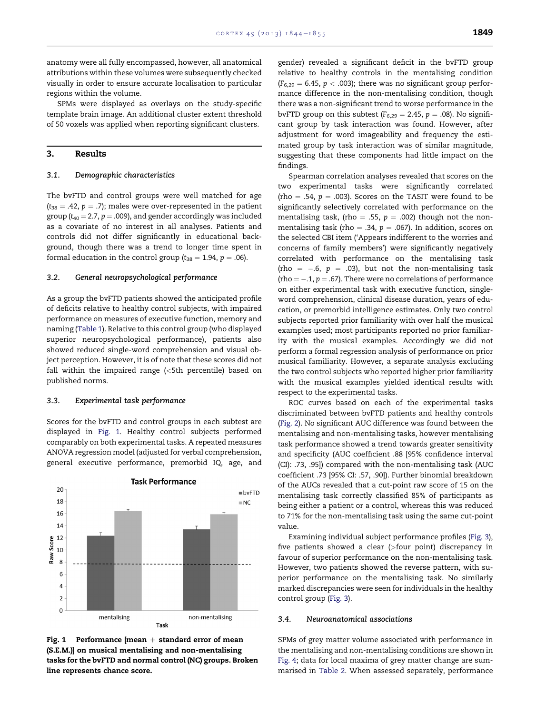anatomy were all fully encompassed, however, all anatomical attributions within these volumes were subsequently checked visually in order to ensure accurate localisation to particular regions within the volume.

SPMs were displayed as overlays on the study-specific template brain image. An additional cluster extent threshold of 50 voxels was applied when reporting significant clusters.

#### 3. Results

#### 3.1. Demographic characteristics

The bvFTD and control groups were well matched for age  $(t_{38} = .42, p = .7)$ ; males were over-represented in the patient group ( $t_{40} = 2.7$ ,  $p = .009$ ), and gender accordingly was included as a covariate of no interest in all analyses. Patients and controls did not differ significantly in educational background, though there was a trend to longer time spent in formal education in the control group ( $t_{38} = 1.94$ ,  $p = .06$ ).

#### 3.2. General neuropsychological performance

As a group the bvFTD patients showed the anticipated profile of deficits relative to healthy control subjects, with impaired performance on measures of executive function, memory and naming [\(Table 1\)](#page-3-0). Relative to this control group (who displayed superior neuropsychological performance), patients also showed reduced single-word comprehension and visual object perception. However, it is of note that these scores did not fall within the impaired range  $\ll$ 5th percentile) based on published norms.

#### 3.3. Experimental task performance

Scores for the bvFTD and control groups in each subtest are displayed in Fig. 1. Healthy control subjects performed comparably on both experimental tasks. A repeated measures ANOVA regression model (adjusted for verbal comprehension, general executive performance, premorbid IQ, age, and



Fig. 1 – Performance [mean  $+$  standard error of mean (S.E.M.)] on musical mentalising and non-mentalising tasks for the bvFTD and normal control (NC) groups. Broken line represents chance score.

gender) revealed a significant deficit in the bvFTD group relative to healthy controls in the mentalising condition  $(F_{6,29} = 6.45, p < .003)$ ; there was no significant group performance difference in the non-mentalising condition, though there was a non-significant trend to worse performance in the bvFTD group on this subtest ( $F_{6,29} = 2.45$ ,  $p = .08$ ). No significant group by task interaction was found. However, after adjustment for word imageability and frequency the estimated group by task interaction was of similar magnitude, suggesting that these components had little impact on the findings.

Spearman correlation analyses revealed that scores on the two experimental tasks were significantly correlated (rho = .54,  $p = .003$ ). Scores on the TASIT were found to be significantly selectively correlated with performance on the mentalising task, (rho = .55,  $p = .002$ ) though not the nonmentalising task (rho  $= .34$ ,  $p = .067$ ). In addition, scores on the selected CBI item ('Appears indifferent to the worries and concerns of family members') were significantly negatively correlated with performance on the mentalising task (rho  $=$   $-.6$ ,  $p = .03$ ), but not the non-mentalising task (rho  $=-.1, p=.67$ ). There were no correlations of performance on either experimental task with executive function, singleword comprehension, clinical disease duration, years of education, or premorbid intelligence estimates. Only two control subjects reported prior familiarity with over half the musical examples used; most participants reported no prior familiarity with the musical examples. Accordingly we did not perform a formal regression analysis of performance on prior musical familiarity. However, a separate analysis excluding the two control subjects who reported higher prior familiarity with the musical examples yielded identical results with respect to the experimental tasks.

ROC curves based on each of the experimental tasks discriminated between bvFTD patients and healthy controls [\(Fig. 2\)](#page-6-0). No significant AUC difference was found between the mentalising and non-mentalising tasks, however mentalising task performance showed a trend towards greater sensitivity and specificity (AUC coefficient .88 [95% confidence interval (CI): .73, .95]) compared with the non-mentalising task (AUC coefficient .73 [95% CI: .57, .90]). Further binomial breakdown of the AUCs revealed that a cut-point raw score of 15 on the mentalising task correctly classified 85% of participants as being either a patient or a control, whereas this was reduced to 71% for the non-mentalising task using the same cut-point value.

Examining individual subject performance profiles [\(Fig. 3](#page-6-0)), five patients showed a clear (>four point) discrepancy in favour of superior performance on the non-mentalising task. However, two patients showed the reverse pattern, with superior performance on the mentalising task. No similarly marked discrepancies were seen for individuals in the healthy control group ([Fig. 3\)](#page-6-0).

#### 3.4. Neuroanatomical associations

SPMs of grey matter volume associated with performance in the mentalising and non-mentalising conditions are shown in [Fig. 4](#page-7-0); data for local maxima of grey matter change are summarised in [Table 2](#page-7-0). When assessed separately, performance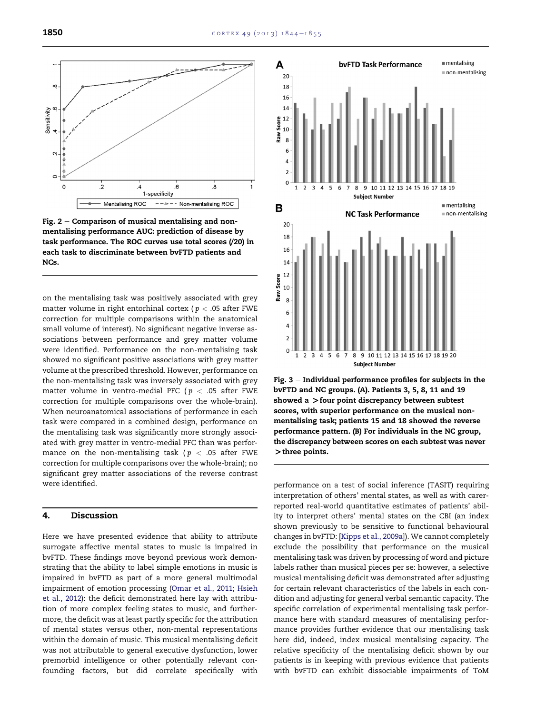<span id="page-6-0"></span>

Fig.  $2$  – Comparison of musical mentalising and nonmentalising performance AUC: prediction of disease by task performance. The ROC curves use total scores (/20) in each task to discriminate between bvFTD patients and NCs.

on the mentalising task was positively associated with grey matter volume in right entorhinal cortex ( $p < .05$  after FWE correction for multiple comparisons within the anatomical small volume of interest). No significant negative inverse associations between performance and grey matter volume were identified. Performance on the non-mentalising task showed no significant positive associations with grey matter volume at the prescribed threshold. However, performance on the non-mentalising task was inversely associated with grey matter volume in ventro-medial PFC ( $p < .05$  after FWE correction for multiple comparisons over the whole-brain). When neuroanatomical associations of performance in each task were compared in a combined design, performance on the mentalising task was significantly more strongly associated with grey matter in ventro-medial PFC than was performance on the non-mentalising task ( $p < .05$  after FWE correction for multiple comparisons over the whole-brain); no significant grey matter associations of the reverse contrast were identified.

## 4. Discussion

Here we have presented evidence that ability to attribute surrogate affective mental states to music is impaired in bvFTD. These findings move beyond previous work demonstrating that the ability to label simple emotions in music is impaired in bvFTD as part of a more general multimodal impairment of emotion processing ([Omar et al., 2011;](#page-10-0) [Hsieh](#page-10-0) [et al., 2012](#page-10-0)): the deficit demonstrated here lay with attribution of more complex feeling states to music, and furthermore, the deficit was at least partly specific for the attribution of mental states versus other, non-mental representations within the domain of music. This musical mentalising deficit was not attributable to general executive dysfunction, lower premorbid intelligence or other potentially relevant confounding factors, but did correlate specifically with



Fig.  $3$  – Individual performance profiles for subjects in the bvFTD and NC groups. (A). Patients 3, 5, 8, 11 and 19 showed a >four point discrepancy between subtest scores, with superior performance on the musical nonmentalising task; patients 15 and 18 showed the reverse performance pattern. (B) For individuals in the NC group, the discrepancy between scores on each subtest was never >three points.

performance on a test of social inference (TASIT) requiring interpretation of others' mental states, as well as with carerreported real-world quantitative estimates of patients' ability to interpret others' mental states on the CBI (an index shown previously to be sensitive to functional behavioural changes in bvFTD: [\[Kipps et al., 2009a\]](#page-10-0)). We cannot completely exclude the possibility that performance on the musical mentalising task was driven by processing of word and picture labels rather than musical pieces per se: however, a selective musical mentalising deficit was demonstrated after adjusting for certain relevant characteristics of the labels in each condition and adjusting for general verbal semantic capacity. The specific correlation of experimental mentalising task performance here with standard measures of mentalising performance provides further evidence that our mentalising task here did, indeed, index musical mentalising capacity. The relative specificity of the mentalising deficit shown by our patients is in keeping with previous evidence that patients with bvFTD can exhibit dissociable impairments of ToM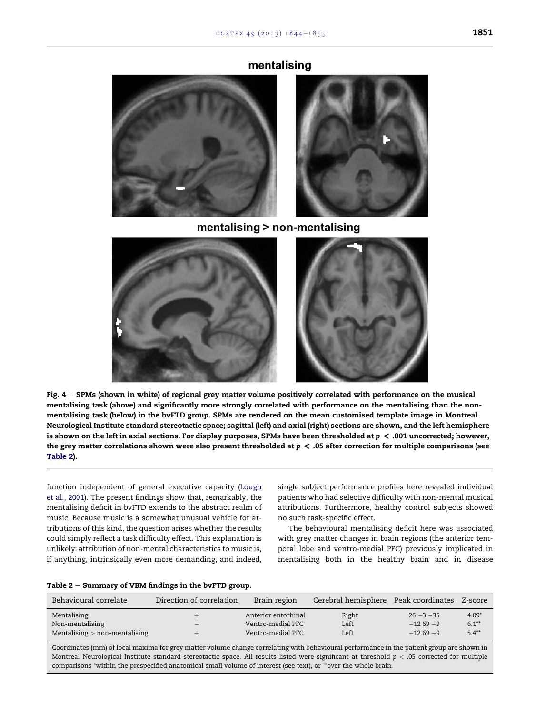

## <span id="page-7-0"></span>mentalising

mentalising > non-mentalising



Fig. 4 - SPMs (shown in white) of regional grey matter volume positively correlated with performance on the musical mentalising task (above) and significantly more strongly correlated with performance on the mentalising than the nonmentalising task (below) in the bvFTD group. SPMs are rendered on the mean customised template image in Montreal Neurological Institute standard stereotactic space; sagittal (left) and axial (right) sections are shown, and the left hemisphere is shown on the left in axial sections. For display purposes, SPMs have been thresholded at  $p < .001$  uncorrected; however, the grey matter correlations shown were also present thresholded at  $p < .05$  after correction for multiple comparisons (see Table 2).

function independent of general executive capacity [\(Lough](#page-10-0) [et al., 2001\)](#page-10-0). The present findings show that, remarkably, the mentalising deficit in bvFTD extends to the abstract realm of music. Because music is a somewhat unusual vehicle for attributions of this kind, the question arises whether the results could simply reflect a task difficulty effect. This explanation is unlikely: attribution of non-mental characteristics to music is, if anything, intrinsically even more demanding, and indeed,

single subject performance profiles here revealed individual patients who had selective difficulty with non-mental musical attributions. Furthermore, healthy control subjects showed no such task-specific effect.

The behavioural mentalising deficit here was associated with grey matter changes in brain regions (the anterior temporal lobe and ventro-medial PFC) previously implicated in mentalising both in the healthy brain and in disease

#### Table  $2 -$  Summary of VBM findings in the bvFTD group.

| Behavioural correlate                                                                                                                     | Direction of correlation | Brain region                                                  | Cerebral hemisphere Peak coordinates |                                             | Z-score                         |  |  |  |
|-------------------------------------------------------------------------------------------------------------------------------------------|--------------------------|---------------------------------------------------------------|--------------------------------------|---------------------------------------------|---------------------------------|--|--|--|
| Mentalising<br>Non-mentalising<br>$Mentalising > non-mentalising$                                                                         |                          | Anterior entorhinal<br>Ventro-medial PFC<br>Ventro-medial PFC | Right<br>Left<br>Left                | $26 - 3 - 35$<br>$-1269 - 9$<br>$-1269 - 9$ | $4.09*$<br>$6.1***$<br>$5.4***$ |  |  |  |
| Coordinates (mm) of local maxima for grey matter volume change correlating with behavioural performance in the patient group are shown in |                          |                                                               |                                      |                                             |                                 |  |  |  |

Montreal Neurological Institute standard stereotactic space. All results listed were significant at threshold  $p < .05$  corrected for multiple comparisons \*within the prespecified anatomical small volume of interest (see text), or \*\*over the whole brain.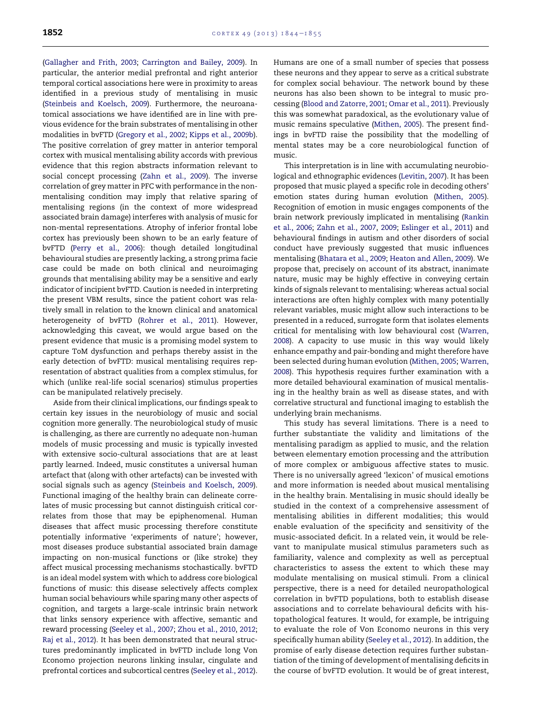([Gallagher and Frith, 2003;](#page-10-0) [Carrington and Bailey, 2009\)](#page-9-0). In particular, the anterior medial prefrontal and right anterior temporal cortical associations here were in proximity to areas identified in a previous study of mentalising in music ([Steinbeis and Koelsch, 2009\)](#page-11-0). Furthermore, the neuroanatomical associations we have identified are in line with previous evidence for the brain substrates of mentalising in other modalities in bvFTD [\(Gregory et al., 2002;](#page-10-0) [Kipps et al., 2009b\)](#page-10-0). The positive correlation of grey matter in anterior temporal cortex with musical mentalising ability accords with previous evidence that this region abstracts information relevant to social concept processing [\(Zahn et al., 2009\)](#page-11-0). The inverse correlation of grey matter in PFC with performance in the nonmentalising condition may imply that relative sparing of mentalising regions (in the context of more widespread associated brain damage) interferes with analysis of music for non-mental representations. Atrophy of inferior frontal lobe cortex has previously been shown to be an early feature of bvFTD ([Perry et al., 2006](#page-10-0)): though detailed longitudinal behavioural studies are presently lacking, a strong prima facie case could be made on both clinical and neuroimaging grounds that mentalising ability may be a sensitive and early indicator of incipient bvFTD. Caution is needed in interpreting the present VBM results, since the patient cohort was relatively small in relation to the known clinical and anatomical heterogeneity of bvFTD ([Rohrer et al., 2011](#page-10-0)). However, acknowledging this caveat, we would argue based on the present evidence that music is a promising model system to capture ToM dysfunction and perhaps thereby assist in the early detection of bvFTD: musical mentalising requires representation of abstract qualities from a complex stimulus, for which (unlike real-life social scenarios) stimulus properties can be manipulated relatively precisely.

Aside from their clinical implications, our findings speak to certain key issues in the neurobiology of music and social cognition more generally. The neurobiological study of music is challenging, as there are currently no adequate non-human models of music processing and music is typically invested with extensive socio-cultural associations that are at least partly learned. Indeed, music constitutes a universal human artefact that (along with other artefacts) can be invested with social signals such as agency ([Steinbeis and Koelsch, 2009\)](#page-11-0). Functional imaging of the healthy brain can delineate correlates of music processing but cannot distinguish critical correlates from those that may be epiphenomenal. Human diseases that affect music processing therefore constitute potentially informative 'experiments of nature'; however, most diseases produce substantial associated brain damage impacting on non-musical functions or (like stroke) they affect musical processing mechanisms stochastically. bvFTD is an ideal model system with which to address core biological functions of music: this disease selectively affects complex human social behaviours while sparing many other aspects of cognition, and targets a large-scale intrinsic brain network that links sensory experience with affective, semantic and reward processing [\(Seeley et al., 2007;](#page-11-0) [Zhou et al., 2010,](#page-11-0) [2012](#page-11-0); [Raj et al., 2012](#page-10-0)). It has been demonstrated that neural structures predominantly implicated in bvFTD include long Von Economo projection neurons linking insular, cingulate and prefrontal cortices and subcortical centres ([Seeley et al., 2012\)](#page-11-0).

Humans are one of a small number of species that possess these neurons and they appear to serve as a critical substrate for complex social behaviour. The network bound by these neurons has also been shown to be integral to music processing [\(Blood and Zatorre, 2001](#page-9-0); [Omar et al., 2011\)](#page-10-0). Previously this was somewhat paradoxical, as the evolutionary value of music remains speculative ([Mithen, 2005\)](#page-10-0). The present findings in bvFTD raise the possibility that the modelling of mental states may be a core neurobiological function of music.

This interpretation is in line with accumulating neurobiological and ethnographic evidences ([Levitin, 2007](#page-10-0)). It has been proposed that music played a specific role in decoding others' emotion states during human evolution ([Mithen, 2005\)](#page-10-0). Recognition of emotion in music engages components of the brain network previously implicated in mentalising ([Rankin](#page-10-0) [et al., 2006;](#page-10-0) [Zahn et al., 2007](#page-11-0), [2009](#page-11-0); [Eslinger et al., 2011](#page-9-0)) and behavioural findings in autism and other disorders of social conduct have previously suggested that music influences mentalising [\(Bhatara et al., 2009;](#page-9-0) [Heaton and Allen, 2009\)](#page-10-0). We propose that, precisely on account of its abstract, inanimate nature, music may be highly effective in conveying certain kinds of signals relevant to mentalising: whereas actual social interactions are often highly complex with many potentially relevant variables, music might allow such interactions to be presented in a reduced, surrogate form that isolates elements critical for mentalising with low behavioural cost ([Warren,](#page-11-0) [2008\)](#page-11-0). A capacity to use music in this way would likely enhance empathy and pair-bonding and might therefore have been selected during human evolution ([Mithen, 2005](#page-10-0); [Warren,](#page-11-0) [2008\)](#page-11-0). This hypothesis requires further examination with a more detailed behavioural examination of musical mentalising in the healthy brain as well as disease states, and with correlative structural and functional imaging to establish the underlying brain mechanisms.

This study has several limitations. There is a need to further substantiate the validity and limitations of the mentalising paradigm as applied to music, and the relation between elementary emotion processing and the attribution of more complex or ambiguous affective states to music. There is no universally agreed 'lexicon' of musical emotions and more information is needed about musical mentalising in the healthy brain. Mentalising in music should ideally be studied in the context of a comprehensive assessment of mentalising abilities in different modalities; this would enable evaluation of the specificity and sensitivity of the music-associated deficit. In a related vein, it would be relevant to manipulate musical stimulus parameters such as familiarity, valence and complexity as well as perceptual characteristics to assess the extent to which these may modulate mentalising on musical stimuli. From a clinical perspective, there is a need for detailed neuropathological correlation in bvFTD populations, both to establish disease associations and to correlate behavioural deficits with histopathological features. It would, for example, be intriguing to evaluate the role of Von Economo neurons in this very specifically human ability [\(Seeley et al., 2012](#page-11-0)). In addition, the promise of early disease detection requires further substantiation of the timing of development of mentalising deficits in the course of bvFTD evolution. It would be of great interest,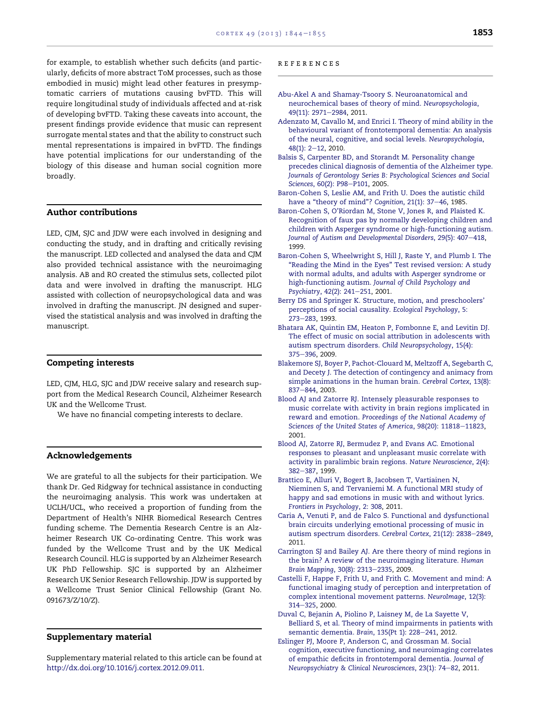<span id="page-9-0"></span>for example, to establish whether such deficits (and particularly, deficits of more abstract ToM processes, such as those embodied in music) might lead other features in presymptomatic carriers of mutations causing bvFTD. This will require longitudinal study of individuals affected and at-risk of developing bvFTD. Taking these caveats into account, the present findings provide evidence that music can represent surrogate mental states and that the ability to construct such mental representations is impaired in bvFTD. The findings have potential implications for our understanding of the biology of this disease and human social cognition more broadly.

## Author contributions

LED, CJM, SJC and JDW were each involved in designing and conducting the study, and in drafting and critically revising the manuscript. LED collected and analysed the data and CJM also provided technical assistance with the neuroimaging analysis. AB and RO created the stimulus sets, collected pilot data and were involved in drafting the manuscript. HLG assisted with collection of neuropsychological data and was involved in drafting the manuscript. JN designed and supervised the statistical analysis and was involved in drafting the manuscript.

#### Competing interests

LED, CJM, HLG, SJC and JDW receive salary and research support from the Medical Research Council, Alzheimer Research UK and the Wellcome Trust.

We have no financial competing interests to declare.

#### Acknowledgements

We are grateful to all the subjects for their participation. We thank Dr. Ged Ridgway for technical assistance in conducting the neuroimaging analysis. This work was undertaken at UCLH/UCL, who received a proportion of funding from the Department of Health's NIHR Biomedical Research Centres funding scheme. The Dementia Research Centre is an Alzheimer Research UK Co-ordinating Centre. This work was funded by the Wellcome Trust and by the UK Medical Research Council. HLG is supported by an Alzheimer Research UK PhD Fellowship. SJC is supported by an Alzheimer Research UK Senior Research Fellowship. JDW is supported by a Wellcome Trust Senior Clinical Fellowship (Grant No. 091673/Z/10/Z).

#### Supplementary material

Supplementary material related to this article can be found at [http://dx.doi.org/10.1016/j.cortex.2012.09.011](mailto:doi:10.1016/j.cortex.2012.09.011).

#### references

- [Abu-Akel A and Shamay-Tsoory S. Neuroanatomical and](http://refhub.elsevier.com/S0010-9452(12)00296-1/sref1) [neurochemical bases of theory of mind.](http://refhub.elsevier.com/S0010-9452(12)00296-1/sref1) Neuropsychologia, [49\(11\): 2971](http://refhub.elsevier.com/S0010-9452(12)00296-1/sref1)-[2984](http://refhub.elsevier.com/S0010-9452(12)00296-1/sref1), 2011.
- [Adenzato M, Cavallo M, and Enrici I. Theory of mind ability in the](http://refhub.elsevier.com/S0010-9452(12)00296-1/sref2) [behavioural variant of frontotemporal dementia: An analysis](http://refhub.elsevier.com/S0010-9452(12)00296-1/sref2) [of the neural, cognitive, and social levels.](http://refhub.elsevier.com/S0010-9452(12)00296-1/sref2) Neuropsychologia,  $48(1): 2-12, 2010.$  $48(1): 2-12, 2010.$  $48(1): 2-12, 2010.$  $48(1): 2-12, 2010.$
- [Balsis S, Carpenter BD, and Storandt M. Personality change](http://refhub.elsevier.com/S0010-9452(12)00296-1/sref3) [precedes clinical diagnosis of dementia of the Alzheimer type.](http://refhub.elsevier.com/S0010-9452(12)00296-1/sref3) [Journals of Gerontology Series B: Psychological Sciences and Social](http://refhub.elsevier.com/S0010-9452(12)00296-1/sref3) Sciences[, 60\(2\): P98](http://refhub.elsevier.com/S0010-9452(12)00296-1/sref3)-[P101](http://refhub.elsevier.com/S0010-9452(12)00296-1/sref3), 2005.
- [Baron-Cohen S, Leslie AM, and Frith U. Does the autistic child](http://refhub.elsevier.com/S0010-9452(12)00296-1/sref4) [have a "theory of mind"?](http://refhub.elsevier.com/S0010-9452(12)00296-1/sref4) Cognition,  $21(1)$ : 37-[46,](http://refhub.elsevier.com/S0010-9452(12)00296-1/sref4) 1985.
- [Baron-Cohen S, O'Riordan M, Stone V, Jones R, and Plaisted K.](http://refhub.elsevier.com/S0010-9452(12)00296-1/sref5) [Recognition of faux pas by normally developing children and](http://refhub.elsevier.com/S0010-9452(12)00296-1/sref5) [children with Asperger syndrome or high-functioning autism.](http://refhub.elsevier.com/S0010-9452(12)00296-1/sref5) [Journal of Autism and Developmental Disorders](http://refhub.elsevier.com/S0010-9452(12)00296-1/sref5), 29(5): 407-[418,](http://refhub.elsevier.com/S0010-9452(12)00296-1/sref5) 1999.
- [Baron-Cohen S, Wheelwright S, Hill J, Raste Y, and Plumb I. The](http://refhub.elsevier.com/S0010-9452(12)00296-1/sref6) ["Reading the Mind in the Eyes" Test revised version: A study](http://refhub.elsevier.com/S0010-9452(12)00296-1/sref6) [with normal adults, and adults with Asperger syndrome or](http://refhub.elsevier.com/S0010-9452(12)00296-1/sref6) high-functioning autism. [Journal of Child Psychology and](http://refhub.elsevier.com/S0010-9452(12)00296-1/sref6) Psychiatry[, 42\(2\): 241](http://refhub.elsevier.com/S0010-9452(12)00296-1/sref6)-[251,](http://refhub.elsevier.com/S0010-9452(12)00296-1/sref6) 2001.
- [Berry DS and Springer K. Structure, motion, and preschoolers'](http://refhub.elsevier.com/S0010-9452(12)00296-1/sref7) [perceptions of social causality.](http://refhub.elsevier.com/S0010-9452(12)00296-1/sref7) Ecological Psychology, 5: [273](http://refhub.elsevier.com/S0010-9452(12)00296-1/sref7)-[283](http://refhub.elsevier.com/S0010-9452(12)00296-1/sref7), 1993.
- [Bhatara AK, Quintin EM, Heaton P, Fombonne E, and Levitin DJ.](http://refhub.elsevier.com/S0010-9452(12)00296-1/sref8) [The effect of music on social attribution in adolescents with](http://refhub.elsevier.com/S0010-9452(12)00296-1/sref8) [autism spectrum disorders.](http://refhub.elsevier.com/S0010-9452(12)00296-1/sref8) Child Neuropsychology, 15(4): [375](http://refhub.elsevier.com/S0010-9452(12)00296-1/sref8)-[396](http://refhub.elsevier.com/S0010-9452(12)00296-1/sref8), 2009.
- [Blakemore SJ, Boyer P, Pachot-Clouard M, Meltzoff A, Segebarth C,](http://refhub.elsevier.com/S0010-9452(12)00296-1/sref9) [and Decety J. The detection of contingency and animacy from](http://refhub.elsevier.com/S0010-9452(12)00296-1/sref9) [simple animations in the human brain.](http://refhub.elsevier.com/S0010-9452(12)00296-1/sref9) Cerebral Cortex, 13(8): [837](http://refhub.elsevier.com/S0010-9452(12)00296-1/sref9)-[844](http://refhub.elsevier.com/S0010-9452(12)00296-1/sref9), 2003.
- [Blood AJ and Zatorre RJ. Intensely pleasurable responses to](http://refhub.elsevier.com/S0010-9452(12)00296-1/sref10) [music correlate with activity in brain regions implicated in](http://refhub.elsevier.com/S0010-9452(12)00296-1/sref10) reward and emotion. [Proceedings of the National Academy of](http://refhub.elsevier.com/S0010-9452(12)00296-1/sref10) [Sciences of the United States of America](http://refhub.elsevier.com/S0010-9452(12)00296-1/sref10), 98(20): 11818-[11823](http://refhub.elsevier.com/S0010-9452(12)00296-1/sref10), 2001.
- [Blood AJ, Zatorre RJ, Bermudez P, and Evans AC. Emotional](http://refhub.elsevier.com/S0010-9452(12)00296-1/sref11) [responses to pleasant and unpleasant music correlate with](http://refhub.elsevier.com/S0010-9452(12)00296-1/sref11) [activity in paralimbic brain regions.](http://refhub.elsevier.com/S0010-9452(12)00296-1/sref11) Nature Neuroscience, 2(4): [382](http://refhub.elsevier.com/S0010-9452(12)00296-1/sref11)-[387](http://refhub.elsevier.com/S0010-9452(12)00296-1/sref11), 1999.
- [Brattico E, Alluri V, Bogert B, Jacobsen T, Vartiainen N,](http://refhub.elsevier.com/S0010-9452(12)00296-1/sref12) [Nieminen S, and Tervaniemi M. A functional MRI study of](http://refhub.elsevier.com/S0010-9452(12)00296-1/sref12) [happy and sad emotions in music with and without lyrics.](http://refhub.elsevier.com/S0010-9452(12)00296-1/sref12) [Frontiers in Psychology](http://refhub.elsevier.com/S0010-9452(12)00296-1/sref12), 2: 308, 2011.
- [Caria A, Venuti P, and de Falco S. Functional and dysfunctional](http://refhub.elsevier.com/S0010-9452(12)00296-1/sref13) [brain circuits underlying emotional processing of music in](http://refhub.elsevier.com/S0010-9452(12)00296-1/sref13) [autism spectrum disorders.](http://refhub.elsevier.com/S0010-9452(12)00296-1/sref13) Cerebral Cortex, 21(12): 2838-[2849,](http://refhub.elsevier.com/S0010-9452(12)00296-1/sref13) 2011.
- Carrington [SJ and Bailey AJ. Are there theory of mind regions in](http://refhub.elsevier.com/S0010-9452(12)00296-1/sref14) [the brain? A review of the neuroimaging literature.](http://refhub.elsevier.com/S0010-9452(12)00296-1/sref14) Human [Brain Mapping](http://refhub.elsevier.com/S0010-9452(12)00296-1/sref14), 30(8): 2313-[2335,](http://refhub.elsevier.com/S0010-9452(12)00296-1/sref14) 2009.
- [Castelli F, Happe F, Frith U, and Frith C. Movement and mind: A](http://refhub.elsevier.com/S0010-9452(12)00296-1/sref15) [functional imaging study of perception and interpretation of](http://refhub.elsevier.com/S0010-9452(12)00296-1/sref15) [complex intentional movement patterns.](http://refhub.elsevier.com/S0010-9452(12)00296-1/sref15) NeuroImage, 12(3): [314](http://refhub.elsevier.com/S0010-9452(12)00296-1/sref15)-[325](http://refhub.elsevier.com/S0010-9452(12)00296-1/sref15), 2000.
- [Duval C, Bejanin A, Piolino P, Laisney M, de La Sayette V,](http://refhub.elsevier.com/S0010-9452(12)00296-1/sref16) [Belliard S, et al. Theory of mind impairments in patients with](http://refhub.elsevier.com/S0010-9452(12)00296-1/sref16) [semantic dementia.](http://refhub.elsevier.com/S0010-9452(12)00296-1/sref16) Brain, 135(Pt 1): 228-[241](http://refhub.elsevier.com/S0010-9452(12)00296-1/sref16), 2012.
- [Eslinger PJ, Moore P, Anderson C, and Grossman M. Social](http://refhub.elsevier.com/S0010-9452(12)00296-1/sref17) [cognition, executive functioning, and neuroimaging correlates](http://refhub.elsevier.com/S0010-9452(12)00296-1/sref17) [of empathic deficits in frontotemporal dementia.](http://refhub.elsevier.com/S0010-9452(12)00296-1/sref17) Journal of [Neuropsychiatry & Clinical Neurosciences](http://refhub.elsevier.com/S0010-9452(12)00296-1/sref17), 23(1): 74-[82](http://refhub.elsevier.com/S0010-9452(12)00296-1/sref17), 2011.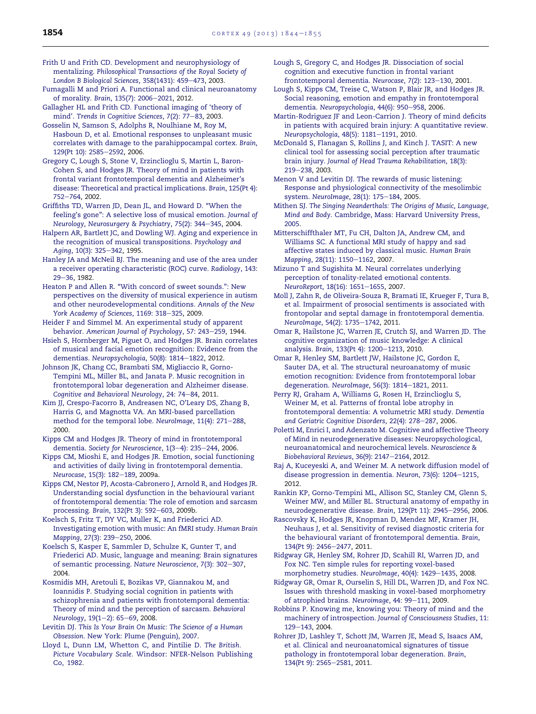<span id="page-10-0"></span>[Frith U and Frith CD. Development and neurophysiology of](http://refhub.elsevier.com/S0010-9452(12)00296-1/sref18) mentalizing. [Philosophical Transactions of the Royal Society of](http://refhub.elsevier.com/S0010-9452(12)00296-1/sref18) [London B Biological Sciences](http://refhub.elsevier.com/S0010-9452(12)00296-1/sref18), 358(1431): 459-[473](http://refhub.elsevier.com/S0010-9452(12)00296-1/sref18), 2003.

[Fumagalli M and Priori A. Functional and clinical neuroanatomy](http://refhub.elsevier.com/S0010-9452(12)00296-1/sref19) of morality. Brain[, 135\(7\): 2006](http://refhub.elsevier.com/S0010-9452(12)00296-1/sref19)-[2021,](http://refhub.elsevier.com/S0010-9452(12)00296-1/sref19) 2012.

[Gallagher HL and Frith CD. Functional imaging of 'theory of](http://refhub.elsevier.com/S0010-9452(12)00296-1/sref20) mind'. [Trends in Cognitive Sciences](http://refhub.elsevier.com/S0010-9452(12)00296-1/sref20), 7(2): 77-[83,](http://refhub.elsevier.com/S0010-9452(12)00296-1/sref20) 2003.

[Gosselin N, Samson S, Adolphs R, Noulhiane M, Roy M,](http://refhub.elsevier.com/S0010-9452(12)00296-1/sref21) [Hasboun D, et al. Emotional responses to unpleasant music](http://refhub.elsevier.com/S0010-9452(12)00296-1/sref21) [correlates with damage to the parahippocampal cortex.](http://refhub.elsevier.com/S0010-9452(12)00296-1/sref21) Brain, [129\(Pt 10\): 2585](http://refhub.elsevier.com/S0010-9452(12)00296-1/sref21)-[2592](http://refhub.elsevier.com/S0010-9452(12)00296-1/sref21), 2006.

[Gregory C, Lough S, Stone V, Erzinclioglu S, Martin L, Baron-](http://refhub.elsevier.com/S0010-9452(12)00296-1/sref22)[Cohen S, and Hodges JR. Theory of mind in patients with](http://refhub.elsevier.com/S0010-9452(12)00296-1/sref22) [frontal variant frontotemporal dementia and Alzheimer's](http://refhub.elsevier.com/S0010-9452(12)00296-1/sref22) [disease: Theoretical and practical implications.](http://refhub.elsevier.com/S0010-9452(12)00296-1/sref22) Brain, 125(Pt 4): [752](http://refhub.elsevier.com/S0010-9452(12)00296-1/sref22)e[764,](http://refhub.elsevier.com/S0010-9452(12)00296-1/sref22) 2002.

[Griffiths TD, Warren JD, Dean JL, and Howard D. "When the](http://refhub.elsevier.com/S0010-9452(12)00296-1/sref23) [feeling's gone": A selective loss of musical emotion.](http://refhub.elsevier.com/S0010-9452(12)00296-1/sref23) Journal of [Neurology, Neurosurgery & Psychiatry](http://refhub.elsevier.com/S0010-9452(12)00296-1/sref23), 75(2): 344-[345](http://refhub.elsevier.com/S0010-9452(12)00296-1/sref23), 2004.

[Halpern AR, Bartlett JC, and Dowling WJ. Aging and experience in](http://refhub.elsevier.com/S0010-9452(12)00296-1/sref24) [the recognition of musical transpositions.](http://refhub.elsevier.com/S0010-9452(12)00296-1/sref24) Psychology and Aging[, 10\(3\): 325](http://refhub.elsevier.com/S0010-9452(12)00296-1/sref24)-[342,](http://refhub.elsevier.com/S0010-9452(12)00296-1/sref24) 1995.

[Hanley JA and McNeil BJ. The meaning and use of the area under](http://refhub.elsevier.com/S0010-9452(12)00296-1/sref25) [a receiver operating characteristic \(ROC\) curve.](http://refhub.elsevier.com/S0010-9452(12)00296-1/sref25) Radiology, 143: [29](http://refhub.elsevier.com/S0010-9452(12)00296-1/sref25)-[36](http://refhub.elsevier.com/S0010-9452(12)00296-1/sref25), 1982.

[Heaton P and Allen R. "With concord of sweet sounds.": New](http://refhub.elsevier.com/S0010-9452(12)00296-1/sref26) [perspectives on the diversity of musical experience in autism](http://refhub.elsevier.com/S0010-9452(12)00296-1/sref26) [and other neurodevelopmental conditions.](http://refhub.elsevier.com/S0010-9452(12)00296-1/sref26) Annals of the New [York Academy of Sciences](http://refhub.elsevier.com/S0010-9452(12)00296-1/sref26), 1169: 318-[325](http://refhub.elsevier.com/S0010-9452(12)00296-1/sref26), 2009.

[Heider F and Simmel M. An experimental study of apparent](http://refhub.elsevier.com/S0010-9452(12)00296-1/sref27) behavior. [American Journal of Psychology](http://refhub.elsevier.com/S0010-9452(12)00296-1/sref27), 57: 243-[259,](http://refhub.elsevier.com/S0010-9452(12)00296-1/sref27) 1944.

[Hsieh S, Hornberger M, Piguet O, and Hodges JR. Brain correlates](http://refhub.elsevier.com/S0010-9452(12)00296-1/sref28) [of musical and facial emotion recognition: Evidence from the](http://refhub.elsevier.com/S0010-9452(12)00296-1/sref28) dementias. [Neuropsychologia](http://refhub.elsevier.com/S0010-9452(12)00296-1/sref28), 50(8): 1814-[1822,](http://refhub.elsevier.com/S0010-9452(12)00296-1/sref28) 2012.

[Johnson JK, Chang CC, Brambati SM, Migliaccio R, Gorno-](http://refhub.elsevier.com/S0010-9452(12)00296-1/sref29)[Tempini ML, Miller BL, and Janata P. Music recognition in](http://refhub.elsevier.com/S0010-9452(12)00296-1/sref29) [frontotemporal lobar degeneration and Alzheimer disease.](http://refhub.elsevier.com/S0010-9452(12)00296-1/sref29) [Cognitive and Behavioral Neurology](http://refhub.elsevier.com/S0010-9452(12)00296-1/sref29), 24: 74-[84,](http://refhub.elsevier.com/S0010-9452(12)00296-1/sref29) 2011.

[Kim JJ, Crespo-Facorro B, Andreasen NC, O'Leary DS, Zhang B,](http://refhub.elsevier.com/S0010-9452(12)00296-1/sref30) [Harris G, and Magnotta VA. An MRI-based parcellation](http://refhub.elsevier.com/S0010-9452(12)00296-1/sref30) [method for the temporal lobe.](http://refhub.elsevier.com/S0010-9452(12)00296-1/sref30) NeuroImage, 11(4): 271-[288](http://refhub.elsevier.com/S0010-9452(12)00296-1/sref30), 2000.

Kipps [CM and Hodges JR. Theory of mind in frontotemporal](http://refhub.elsevier.com/S0010-9452(12)00296-1/sref31) dementia. [Society for Neuroscience](http://refhub.elsevier.com/S0010-9452(12)00296-1/sref31), 1(3-[4\): 235](http://refhub.elsevier.com/S0010-9452(12)00296-1/sref31)-[244,](http://refhub.elsevier.com/S0010-9452(12)00296-1/sref31) 2006.

[Kipps CM, Mioshi E, and Hodges JR. Emotion, social functioning](http://refhub.elsevier.com/S0010-9452(12)00296-1/sref32) [and activities of daily living in frontotemporal dementia.](http://refhub.elsevier.com/S0010-9452(12)00296-1/sref32) Neurocase[, 15\(3\): 182](http://refhub.elsevier.com/S0010-9452(12)00296-1/sref32)-[189](http://refhub.elsevier.com/S0010-9452(12)00296-1/sref32), 2009a.

[Kipps CM, Nestor PJ, Acosta-Cabronero J, Arnold R, and Hodges JR.](http://refhub.elsevier.com/S0010-9452(12)00296-1/sref33) [Understanding social dysfunction in the behavioural variant](http://refhub.elsevier.com/S0010-9452(12)00296-1/sref33) [of frontotemporal dementia: The role of emotion and sarcasm](http://refhub.elsevier.com/S0010-9452(12)00296-1/sref33) processing. Brain[, 132\(Pt 3\): 592](http://refhub.elsevier.com/S0010-9452(12)00296-1/sref33)-[603,](http://refhub.elsevier.com/S0010-9452(12)00296-1/sref33) 2009b.

[Koelsch S, Fritz T, DY VC, Muller K, and Friederici AD.](http://refhub.elsevier.com/S0010-9452(12)00296-1/sref34) [Investigating emotion with music: An fMRI study.](http://refhub.elsevier.com/S0010-9452(12)00296-1/sref34) Human Brain Mapping[, 27\(3\): 239](http://refhub.elsevier.com/S0010-9452(12)00296-1/sref34)-[250](http://refhub.elsevier.com/S0010-9452(12)00296-1/sref34), 2006.

[Koelsch S, Kasper E, Sammler D, Schulze K, Gunter T, and](http://refhub.elsevier.com/S0010-9452(12)00296-1/sref35) [Friederici AD. Music, language and meaning: Brain signatures](http://refhub.elsevier.com/S0010-9452(12)00296-1/sref35) [of semantic processing.](http://refhub.elsevier.com/S0010-9452(12)00296-1/sref35) Nature Neuroscience, 7(3): 302-[307,](http://refhub.elsevier.com/S0010-9452(12)00296-1/sref35) 2004.

[Kosmidis MH, Aretouli E, Bozikas VP, Giannakou M, and](http://refhub.elsevier.com/S0010-9452(12)00296-1/sref36) [Ioannidis P. Studying social cognition in patients with](http://refhub.elsevier.com/S0010-9452(12)00296-1/sref36) [schizophrenia and patients with frontotemporal dementia:](http://refhub.elsevier.com/S0010-9452(12)00296-1/sref36) [Theory of mind and the perception of sarcasm.](http://refhub.elsevier.com/S0010-9452(12)00296-1/sref36) Behavioral [Neurology](http://refhub.elsevier.com/S0010-9452(12)00296-1/sref36), 19(1-[2\): 65](http://refhub.elsevier.com/S0010-9452(12)00296-1/sref36)-[69,](http://refhub.elsevier.com/S0010-9452(12)00296-1/sref36) 2008.

Levitin DJ. [This Is Your Brain On Music: The Science of a Human](http://refhub.elsevier.com/S0010-9452(12)00296-1/sref37) Obsession[. New York: Plume \(Penguin\), 2007](http://refhub.elsevier.com/S0010-9452(12)00296-1/sref37).

[Lloyd L, Dunn LM, Whetton C, and Pintilie D.](http://refhub.elsevier.com/S0010-9452(12)00296-1/sref38) The British. Picture Vocabulary Scale[. Windsor: NFER-Nelson Publishing](http://refhub.elsevier.com/S0010-9452(12)00296-1/sref38) [Co, 1982](http://refhub.elsevier.com/S0010-9452(12)00296-1/sref38).

- [Lough S, Gregory C, and Hodges JR. Dissociation of social](http://refhub.elsevier.com/S0010-9452(12)00296-1/sref39) [cognition and executive function in frontal variant](http://refhub.elsevier.com/S0010-9452(12)00296-1/sref39) [frontotemporal dementia.](http://refhub.elsevier.com/S0010-9452(12)00296-1/sref39) Neurocase, 7(2): 123-[130](http://refhub.elsevier.com/S0010-9452(12)00296-1/sref39), 2001.
- [Lough S, Kipps CM, Treise C, Watson P, Blair JR, and Hodges JR.](http://refhub.elsevier.com/S0010-9452(12)00296-1/sref40) [Social reasoning, emotion and empathy in frontotemporal](http://refhub.elsevier.com/S0010-9452(12)00296-1/sref40) dementia. [Neuropsychologia](http://refhub.elsevier.com/S0010-9452(12)00296-1/sref40), 44(6): 950-[958,](http://refhub.elsevier.com/S0010-9452(12)00296-1/sref40) 2006.
- [Martin-Rodriguez JF and Leon-Carrion J. Theory of mind deficits](http://refhub.elsevier.com/S0010-9452(12)00296-1/sref41) [in patients with acquired brain injury: A quantitative review.](http://refhub.elsevier.com/S0010-9452(12)00296-1/sref41) [Neuropsychologia](http://refhub.elsevier.com/S0010-9452(12)00296-1/sref41), 48(5): 1181-[1191](http://refhub.elsevier.com/S0010-9452(12)00296-1/sref41), 2010.

[McDonald S, Flanagan S, Rollins J, and Kinch J. TASIT: A new](http://refhub.elsevier.com/S0010-9452(12)00296-1/sref42) [clinical tool for assessing social perception after traumatic](http://refhub.elsevier.com/S0010-9452(12)00296-1/sref42) brain injury. [Journal of Head Trauma Rehabilitation](http://refhub.elsevier.com/S0010-9452(12)00296-1/sref42), 18(3): [219](http://refhub.elsevier.com/S0010-9452(12)00296-1/sref42)-[238,](http://refhub.elsevier.com/S0010-9452(12)00296-1/sref42) 2003.

[Menon V and Levitin DJ. The rewards of music listening:](http://refhub.elsevier.com/S0010-9452(12)00296-1/sref43) [Response and physiological connectivity of the mesolimbic](http://refhub.elsevier.com/S0010-9452(12)00296-1/sref43) system. [NeuroImage](http://refhub.elsevier.com/S0010-9452(12)00296-1/sref43), 28(1): 175-[184,](http://refhub.elsevier.com/S0010-9452(12)00296-1/sref43) 2005.

Mithen SJ. [The Singing Neanderthals: The Origins of Music, Language,](http://refhub.elsevier.com/S0010-9452(12)00296-1/sref44) Mind and Body[. Cambridge, Mass: Harvard University Press,](http://refhub.elsevier.com/S0010-9452(12)00296-1/sref44) [2005.](http://refhub.elsevier.com/S0010-9452(12)00296-1/sref44)

[Mitterschiffthaler MT, Fu CH, Dalton JA, Andrew CM, and](http://refhub.elsevier.com/S0010-9452(12)00296-1/sref45) [Williams SC. A functional MRI study of happy and sad](http://refhub.elsevier.com/S0010-9452(12)00296-1/sref45) [affective states induced by classical music.](http://refhub.elsevier.com/S0010-9452(12)00296-1/sref45) Human Brain Mapping[, 28\(11\): 1150](http://refhub.elsevier.com/S0010-9452(12)00296-1/sref45)-[1162,](http://refhub.elsevier.com/S0010-9452(12)00296-1/sref45) 2007.

[Mizuno T and Sugishita M. Neural correlates underlying](http://refhub.elsevier.com/S0010-9452(12)00296-1/sref46) [perception of tonality-related emotional contents.](http://refhub.elsevier.com/S0010-9452(12)00296-1/sref46) NeuroReport[, 18\(16\): 1651](http://refhub.elsevier.com/S0010-9452(12)00296-1/sref46)-[1655](http://refhub.elsevier.com/S0010-9452(12)00296-1/sref46), 2007.

[Moll J, Zahn R, de Oliveira-Souza R, Bramati IE, Krueger F, Tura B,](http://refhub.elsevier.com/S0010-9452(12)00296-1/sref47) [et al. Impairment of prosocial sentiments is associated with](http://refhub.elsevier.com/S0010-9452(12)00296-1/sref47) [frontopolar and septal damage in frontotemporal dementia.](http://refhub.elsevier.com/S0010-9452(12)00296-1/sref47) NeuroImage[, 54\(2\): 1735](http://refhub.elsevier.com/S0010-9452(12)00296-1/sref47)-[1742,](http://refhub.elsevier.com/S0010-9452(12)00296-1/sref47) 2011.

[Omar R, Hailstone JC, Warren JE, Crutch SJ, and Warren JD. The](http://refhub.elsevier.com/S0010-9452(12)00296-1/sref48) [cognitive organization of music knowledge: A clinical](http://refhub.elsevier.com/S0010-9452(12)00296-1/sref48) analysis. Brain[, 133\(Pt 4\): 1200](http://refhub.elsevier.com/S0010-9452(12)00296-1/sref48)-[1213,](http://refhub.elsevier.com/S0010-9452(12)00296-1/sref48) 2010.

[Omar R, Henley SM, Bartlett JW, Hailstone JC, Gordon E,](http://refhub.elsevier.com/S0010-9452(12)00296-1/sref49) [Sauter DA, et al. The structural neuroanatomy of music](http://refhub.elsevier.com/S0010-9452(12)00296-1/sref49) [emotion recognition: Evidence from frontotemporal lobar](http://refhub.elsevier.com/S0010-9452(12)00296-1/sref49) [degeneration.](http://refhub.elsevier.com/S0010-9452(12)00296-1/sref49) NeuroImage, 56(3): 1814-[1821,](http://refhub.elsevier.com/S0010-9452(12)00296-1/sref49) 2011.

[Perry RJ, Graham A, Williams G, Rosen H, Erzinclioglu S,](http://refhub.elsevier.com/S0010-9452(12)00296-1/sref50) [Weiner M, et al. Patterns of frontal lobe atrophy in](http://refhub.elsevier.com/S0010-9452(12)00296-1/sref50) [frontotemporal dementia: A volumetric MRI study.](http://refhub.elsevier.com/S0010-9452(12)00296-1/sref50) Dementia [and Geriatric Cognitive Disorders](http://refhub.elsevier.com/S0010-9452(12)00296-1/sref50), 22(4): 278-[287,](http://refhub.elsevier.com/S0010-9452(12)00296-1/sref50) 2006.

[Poletti M, Enrici I, and Adenzato M. Cognitive and affective Theory](http://refhub.elsevier.com/S0010-9452(12)00296-1/sref51) [of Mind in neurodegenerative diseases: Neuropsychological,](http://refhub.elsevier.com/S0010-9452(12)00296-1/sref51) [neuroanatomical and neurochemical levels.](http://refhub.elsevier.com/S0010-9452(12)00296-1/sref51) Neuroscience & [Biobehavioral Reviews](http://refhub.elsevier.com/S0010-9452(12)00296-1/sref51), 36(9): 2147-[2164](http://refhub.elsevier.com/S0010-9452(12)00296-1/sref51), 2012.

[Raj A, Kuceyeski A, and Weiner M. A network diffusion model of](http://refhub.elsevier.com/S0010-9452(12)00296-1/sref52) [disease progression in dementia.](http://refhub.elsevier.com/S0010-9452(12)00296-1/sref52) Neuron, 73(6): 1204-[1215](http://refhub.elsevier.com/S0010-9452(12)00296-1/sref52), 2012.

[Rankin KP, Gorno-Tempini ML, Allison SC, Stanley CM, Glenn S,](http://refhub.elsevier.com/S0010-9452(12)00296-1/sref53) [Weiner MW, and Miller BL. Structural anatomy of empathy in](http://refhub.elsevier.com/S0010-9452(12)00296-1/sref53) [neurodegenerative disease.](http://refhub.elsevier.com/S0010-9452(12)00296-1/sref53) Brain, 129(Pt 11): 2945-[2956](http://refhub.elsevier.com/S0010-9452(12)00296-1/sref53), 2006.

[Rascovsky K, Hodges JR, Knopman D, Mendez MF, Kramer JH,](http://refhub.elsevier.com/S0010-9452(12)00296-1/sref54) [Neuhaus J, et al. Sensitivity of revised diagnostic criteria for](http://refhub.elsevier.com/S0010-9452(12)00296-1/sref54) [the behavioural variant of frontotemporal dementia.](http://refhub.elsevier.com/S0010-9452(12)00296-1/sref54) Brain, [134\(Pt 9\): 2456](http://refhub.elsevier.com/S0010-9452(12)00296-1/sref54)-[2477](http://refhub.elsevier.com/S0010-9452(12)00296-1/sref54), 2011.

[Ridgway GR, Henley SM, Rohrer JD, Scahill RI, Warren JD, and](http://refhub.elsevier.com/S0010-9452(12)00296-1/sref55) [Fox NC. Ten simple rules for reporting voxel-based](http://refhub.elsevier.com/S0010-9452(12)00296-1/sref55) [morphometry studies.](http://refhub.elsevier.com/S0010-9452(12)00296-1/sref55) NeuroImage, 40(4): 1429-[1435,](http://refhub.elsevier.com/S0010-9452(12)00296-1/sref55) 2008.

[Ridgway GR, Omar R, Ourselin S, Hill DL, Warren JD, and Fox NC.](http://refhub.elsevier.com/S0010-9452(12)00296-1/sref56) [Issues with threshold masking in voxel-based morphometry](http://refhub.elsevier.com/S0010-9452(12)00296-1/sref56) [of atrophied brains.](http://refhub.elsevier.com/S0010-9452(12)00296-1/sref56) Neuroimage, 44: 99-[111,](http://refhub.elsevier.com/S0010-9452(12)00296-1/sref56) 2009.

[Robbins P. Knowing me, knowing you: Theory of mind and the](http://refhub.elsevier.com/S0010-9452(12)00296-1/sref57) machinery of introspection. [Journal of Consciousness Studies](http://refhub.elsevier.com/S0010-9452(12)00296-1/sref57), 11: [129](http://refhub.elsevier.com/S0010-9452(12)00296-1/sref57)-[143,](http://refhub.elsevier.com/S0010-9452(12)00296-1/sref57) 2004.

[Rohrer JD, Lashley T, Schott JM, Warren JE, Mead S, Isaacs AM,](http://refhub.elsevier.com/S0010-9452(12)00296-1/sref58) [et al. Clinical and neuroanatomical signatures of tissue](http://refhub.elsevier.com/S0010-9452(12)00296-1/sref58) [pathology in frontotemporal lobar degeneration.](http://refhub.elsevier.com/S0010-9452(12)00296-1/sref58) Brain, [134\(Pt 9\): 2565](http://refhub.elsevier.com/S0010-9452(12)00296-1/sref58)-[2581](http://refhub.elsevier.com/S0010-9452(12)00296-1/sref58), 2011.